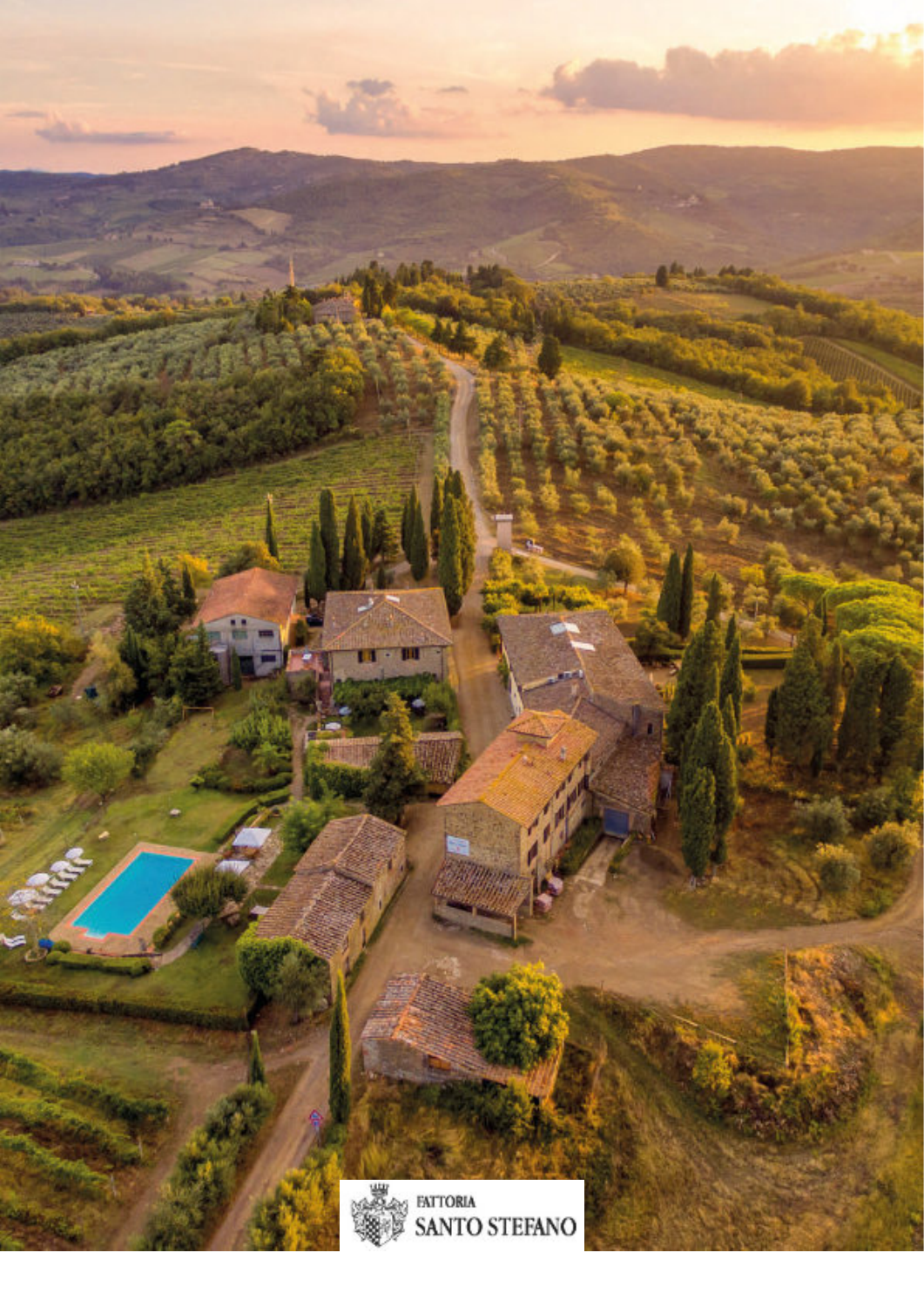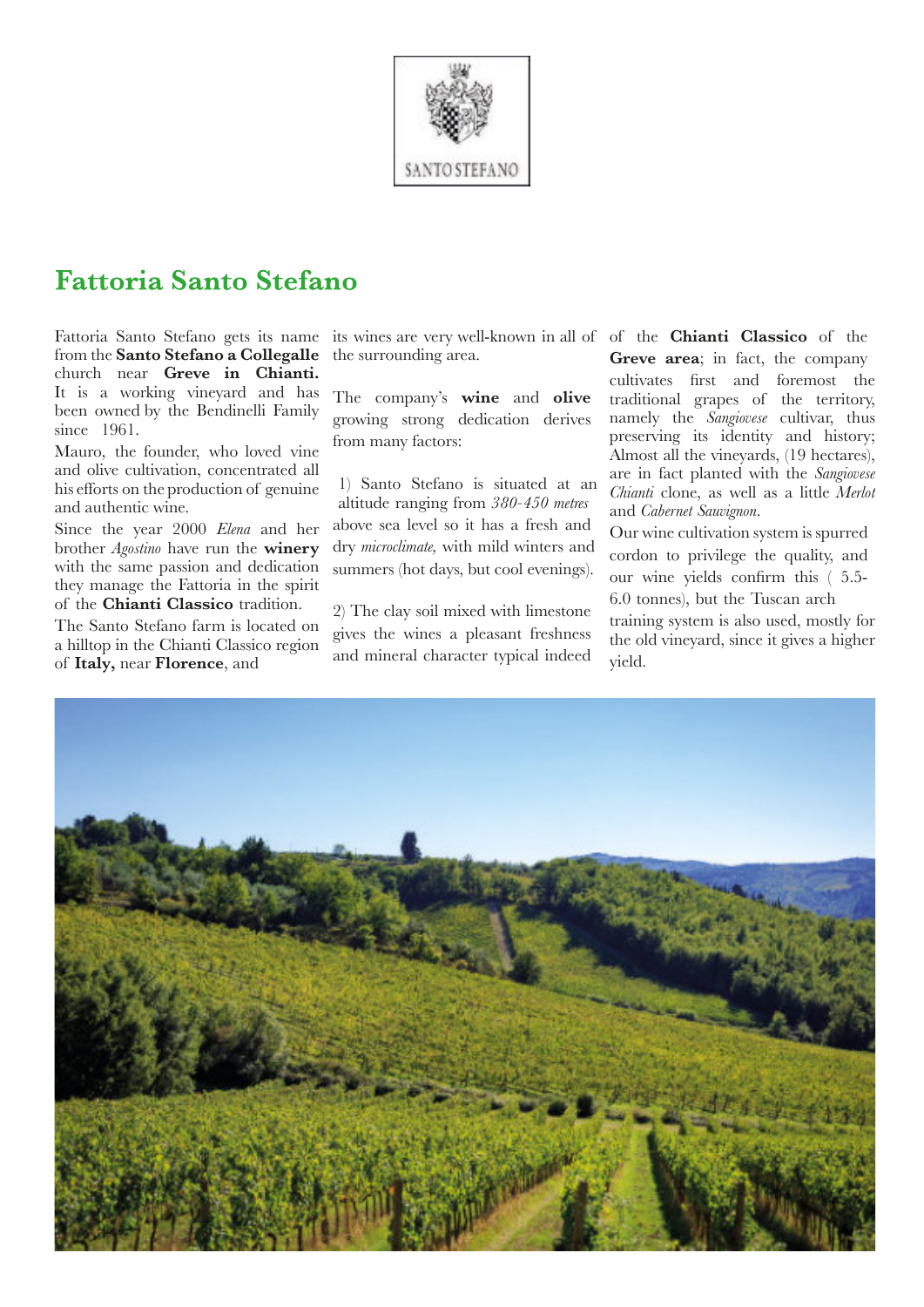

# **Fattoria Santo Stefano**

Fattoria Santo Stefano gets its name from the **Santo Stefano a Collegalle** church near **Greve in Chianti.** It is a working vineyard and has been owned by the Bendinelli Family since 1961.

Mauro, the founder, who loved vine and olive cultivation, concentrated all his efforts on the production of genuine and authentic wine.

Since the year 2000 *Elena* and her brother *Agostino* have run the **winery** with the same passion and dedication they manage the Fattoria in the spirit of the **Chianti Classico** tradition.

The Santo Stefano farm is located on a hilltop in the Chianti Classico region of **Italy,** near **Florence**, and

its wines are very well-known in all of of the **Chianti Classico** of the the surrounding area.

The company's **wine** and **olive** growing strong dedication derives from many factors:

1) Santo Stefano is situated at an altitude ranging from *380-450 metres* above sea level so it has a fresh and dry *microclimate,* with mild winters and summers (hot days, but cool evenings).

2) The clay soil mixed with limestone gives the wines a pleasant freshness and mineral character typical indeed

**Greve area**; in fact, the company cultivates first and foremost the traditional grapes of the territory, namely the *Sangiovese* cultivar, thus preserving its identity and history; Almost all the vineyards, (19 hectares), are in fact planted with the *Sangiovese Chianti* clone, as well as a little *Merlot* and *Cabernet Sauvignon*.

Our wine cultivation system is spurred cordon to privilege the quality, and our wine yields confirm this ( 5.5- 6.0 tonnes), but the Tuscan arch

training system is also used, mostly for the old vineyard, since it gives a higher yield.

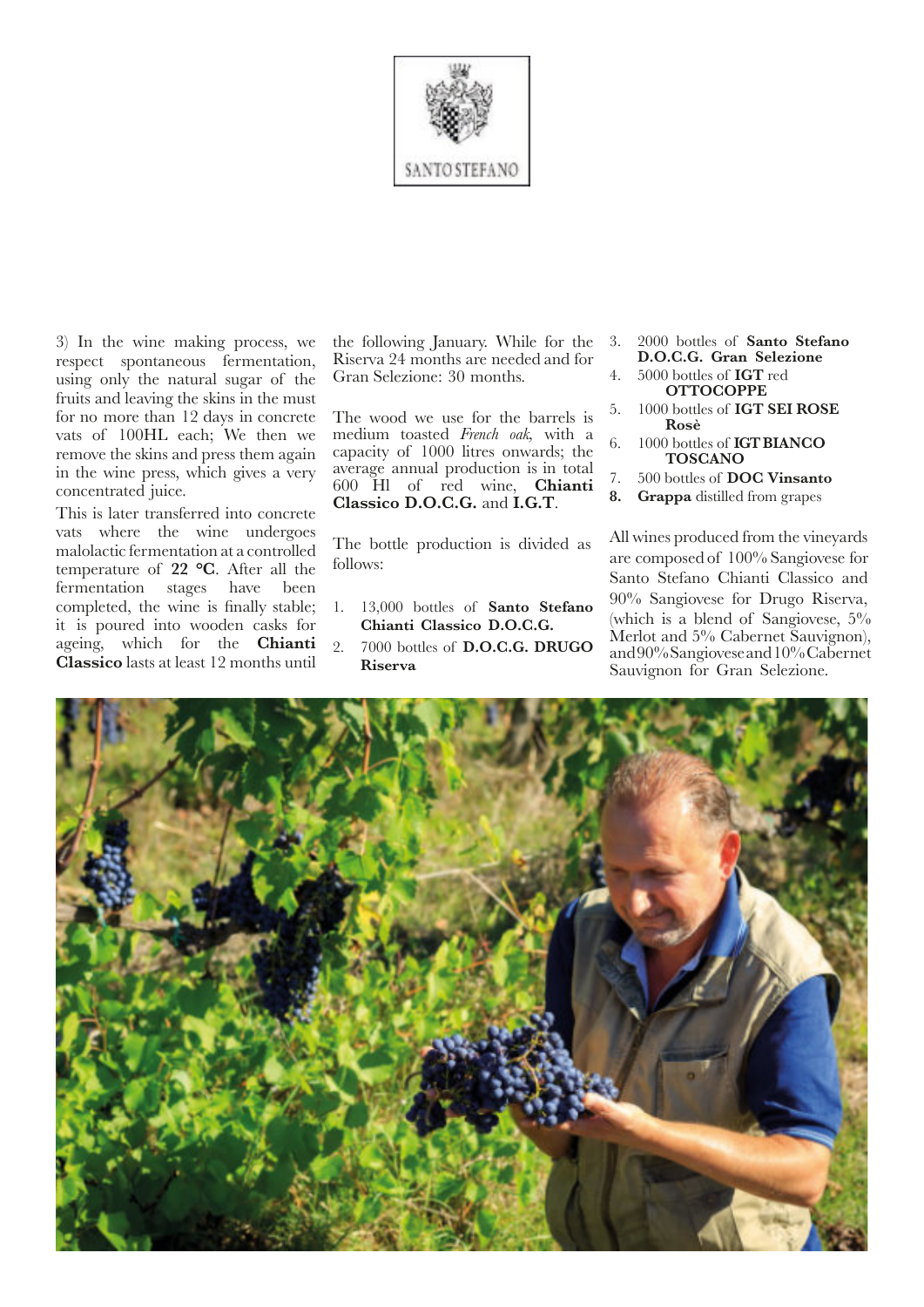

3) In the wine making process, we respect spontaneous fermentation, using only the natural sugar of the fruits and leaving the skins in the must for no more than 12 days in concrete vats of 100HL each; We then we remove the skins and press them again in the wine press, which gives a very concentrated juice.

This is later transferred into concrete vats where the wine undergoes malolactic fermentation at a controlled temperature of **22 °C**. After all the fermentation stages have been completed, the wine is finally stable; it is poured into wooden casks for ageing, which for the **Chianti Classico** lasts at least 12 months until

the following January. While for the Riserva 24 months are needed and for Gran Selezione: 30 months.

The wood we use for the barrels is medium toasted *French oak,* with a capacity of 1000 litres onwards; the average annual production is in total 600 Hl of red wine, **Chianti Classico D.O.C.G.** and **I.G.T**.

The bottle production is divided as follows:

- 1. 13,000 bottles of **Santo Stefano Chianti Classico D.O.C.G.**
- 2. 7000 bottles of **D.O.C.G. DRUGO Riserva**
- 3. 2000 bottles of **Santo Stefano D.O.C.G. Gran Selezione**
- 4. 5000 bottles of **IGT** red **OTTOCOPPE**
- 5. 1000 bottles of **IGT SEI ROSE Rosè**
- 6. 1000 bottles of **IGTBIANCO TOSCANO**
- 7. 500 bottles of **DOC Vinsanto**
- **8. Grappa** distilled from grapes

All wines produced from the vineyards are composed of 100% Sangiovese for Santo Stefano Chianti Classico and 90% Sangiovese for Drugo Riserva, (which is a blend of Sangiovese,  $5\%$ Merlot and 5% Cabernet Sauvignon), and90%Sangioveseand10%Cabernet Sauvignon for Gran Selezione.

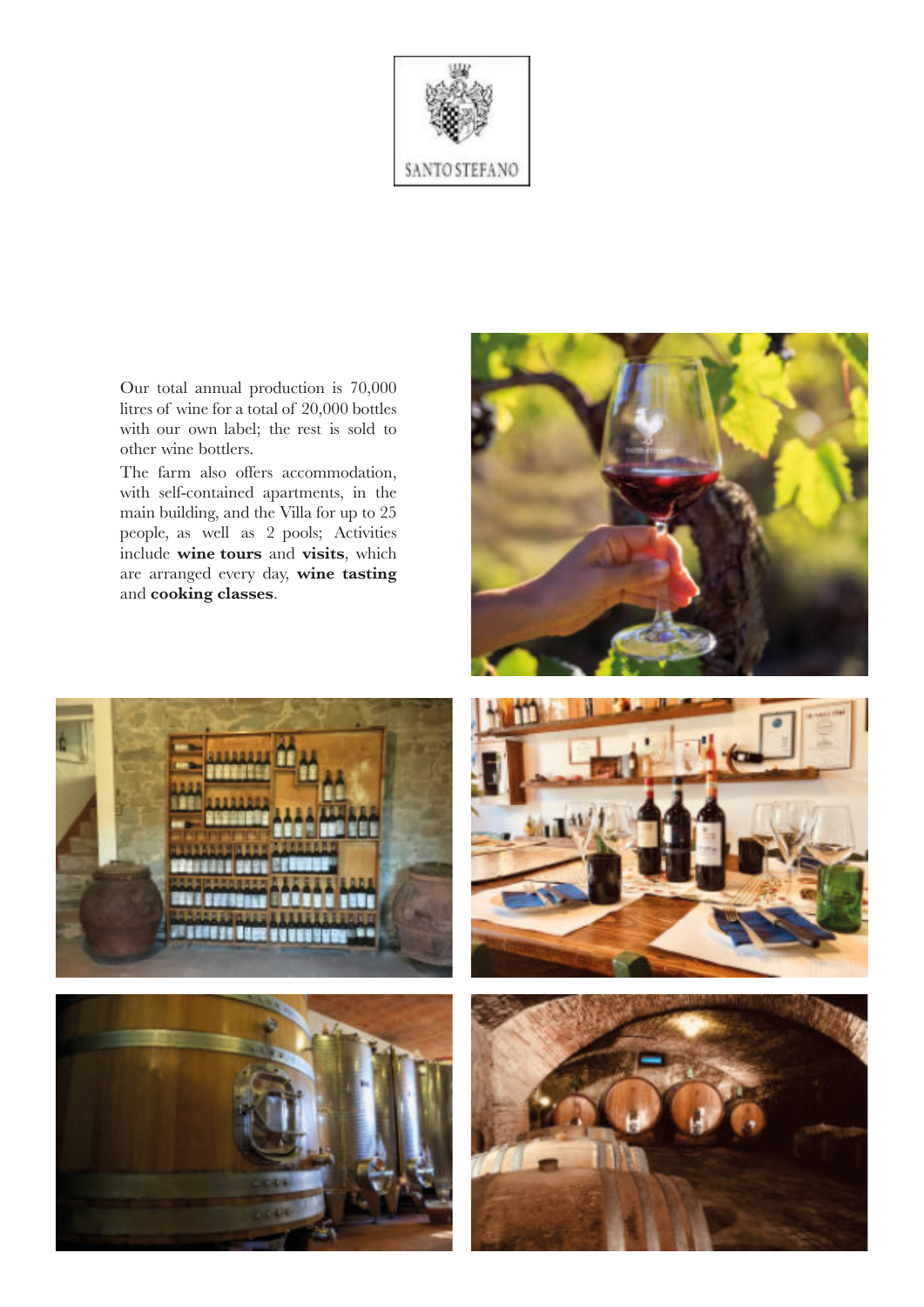

Our total annual production is 70,000 litres of wine for a total of 20,000 bottles with our own label; the rest is sold to other wine bottlers.

The farm also offers accommodation, with self-contained apartments, in the main building, and the Villa for up to 25 people, as well as 2 pools; Activities include **wine tours** and **visits**, which are arranged every day, **wine tasting** and **cooking classes**.









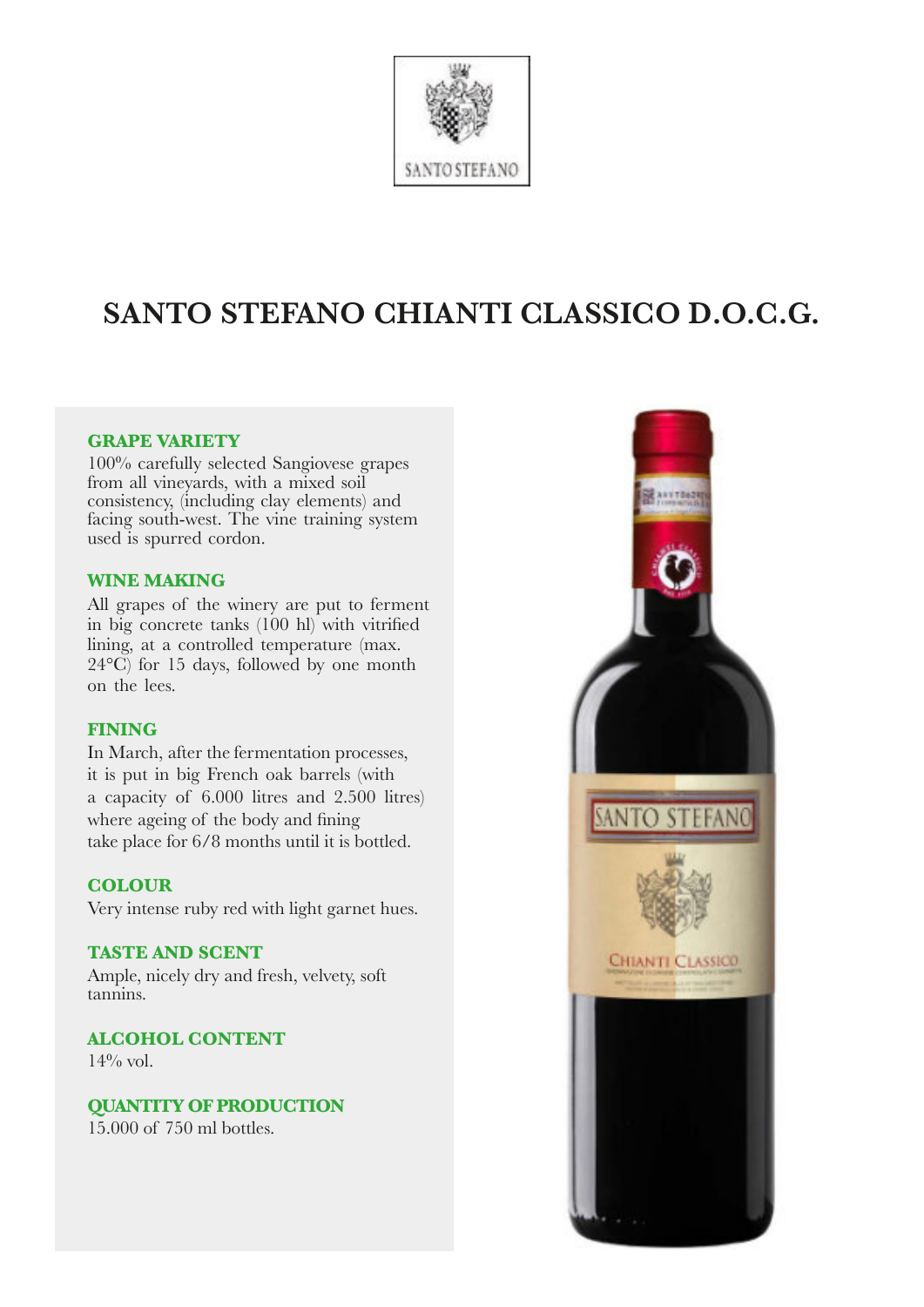

# **SANTO STEFANO CHIANTI CLASSICO D.O.C.G.**

## **GRAPE VARIETY**

100% carefully selected Sangiovese grapes from all vineyards, with a mixed soil consistency, (including clay elements) and facing south-west. The vine training system used is spurred cordon.

#### **WINE MAKING**

All grapes of the winery are put to ferment in big concrete tanks (100 hl) with vitrified lining, at a controlled temperature (max.  $24^{\circ}$ C) for 15 days, followed by one month on the lees.

## **FINING**

In March, after the fermentation processes, it is put in big French oak barrels (with a capacity of 6.000 litres and 2.500 litres) where ageing of the body and fining take place for 6/8 months until it is bottled.

## **COLOUR**

Very intense ruby red with light garnet hues.

#### **TASTE AND SCENT**

Ample, nicely dry and fresh, velvety, soft tannins.

**ALCOHOL CONTENT**  $14\%$  vol.

**QUANTITY OF PRODUCTION** 15.000 of 750 ml bottles.

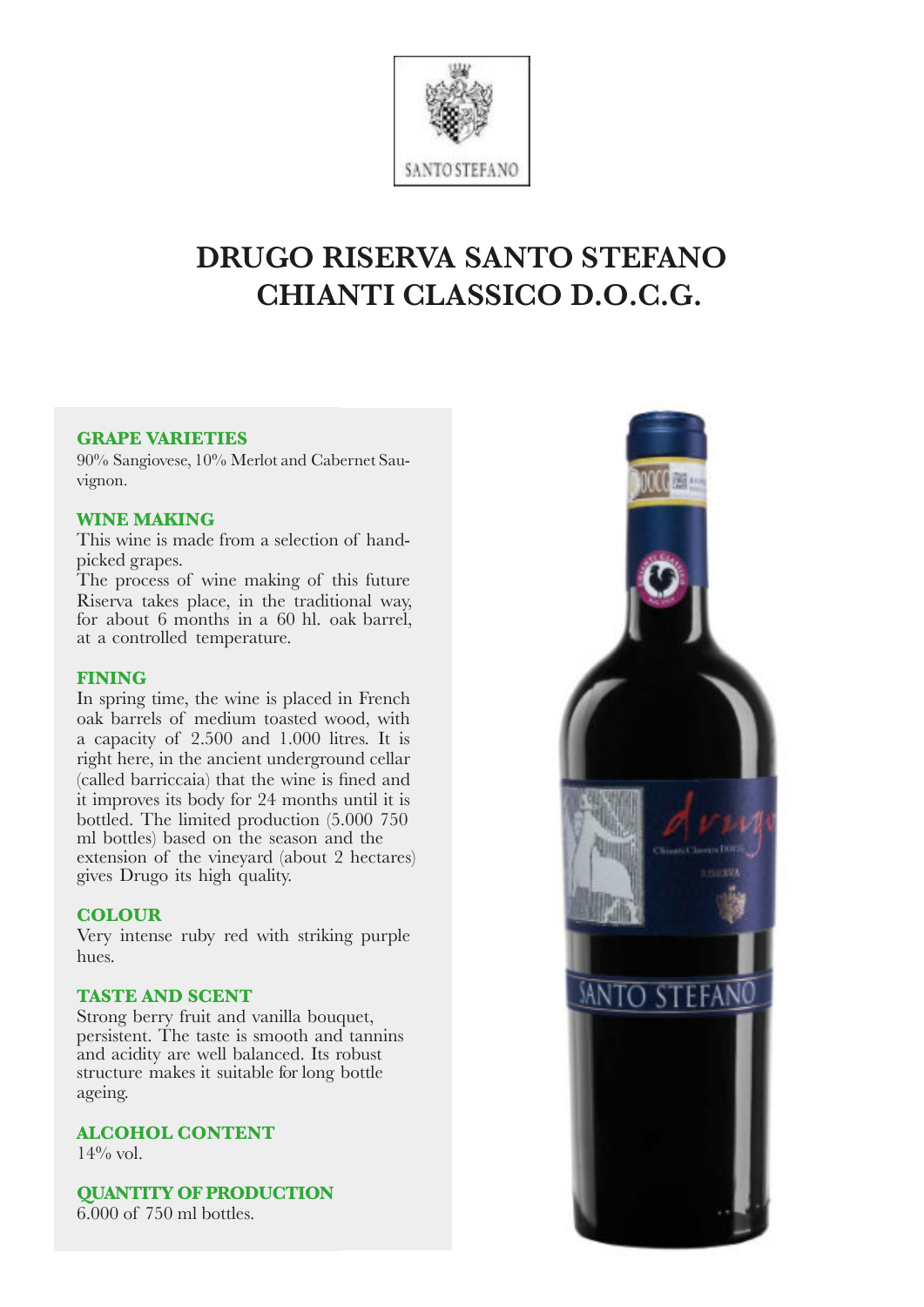

# **DRUGO RISERVA SANTO STEFANO CHIANTI CLASSICO D.O.C.G.**

#### **GRAPE VARIETIES**

90% Sangiovese, 10% Merlot and Cabernet Sauvignon.

#### **WINE MAKING**

This wine is made from a selection of handpicked grapes.

The process of wine making of this future Riserva takes place, in the traditional way, for about 6 months in a 60 hl. oak barrel, at a controlled temperature.

#### **FINING**

In spring time, the wine is placed in French oak barrels of medium toasted wood, with a capacity of 2.500 and 1.000 litres. It is right here, in the ancient underground cellar (called barriccaia) that the wine is fined and it improves its body for 24 months until it is bottled. The limited production (5.000 750 ml bottles) based on the season and the extension of the vineyard (about 2 hectares) gives Drugo its high quality.

## **COLOUR**

Very intense ruby red with striking purple hues.

## **TASTE AND SCENT**

Strong berry fruit and vanilla bouquet, persistent. The taste is smooth and tannins and acidity are well balanced. Its robust structure makes it suitable for long bottle ageing.

# **ALCOHOL CONTENT**

 $14\%$  vol.

**QUANTITY OF PRODUCTION**

6.000 of 750 ml bottles.

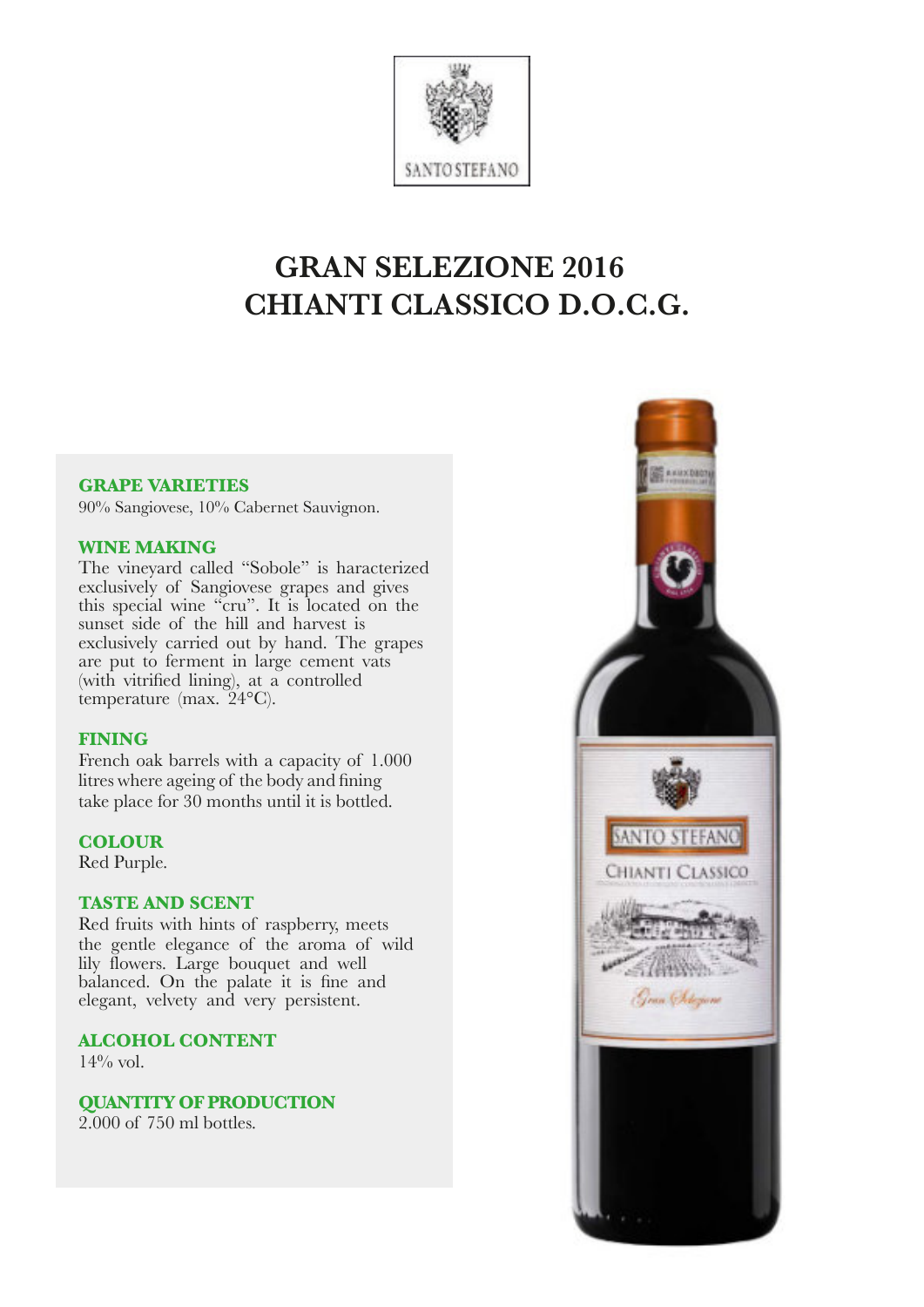

# **GRAN SELEZIONE 2016 CHIANTI CLASSICO D.O.C.G.**

#### **GRAPE VARIETIES**

90% Sangiovese, 10% Cabernet Sauvignon.

## **WINE MAKING**

The vineyard called "Sobole" is haracterized exclusively of Sangiovese grapes and gives this special wine "cru". It is located on the sunset side of the hill and harvest is exclusively carried out by hand. The grapes are put to ferment in large cement vats (with vitrified lining), at a controlled temperature (max.  $24^{\circ}$ C).

## **FINING**

French oak barrels with a capacity of 1.000 litres where ageing of the body and fining take place for 30 months until it is bottled.

## **COLOUR**

Red Purple.

## **TASTE AND SCENT**

Red fruits with hints of raspberry, meets the gentle elegance of the aroma of wild lily flowers. Large bouquet and well balanced. On the palate it is fine and elegant, velvety and very persistent.

**ALCOHOL CONTENT**  $14\%$  vol.

**QUANTITY OF PRODUCTION** 2.000 of 750 ml bottles.

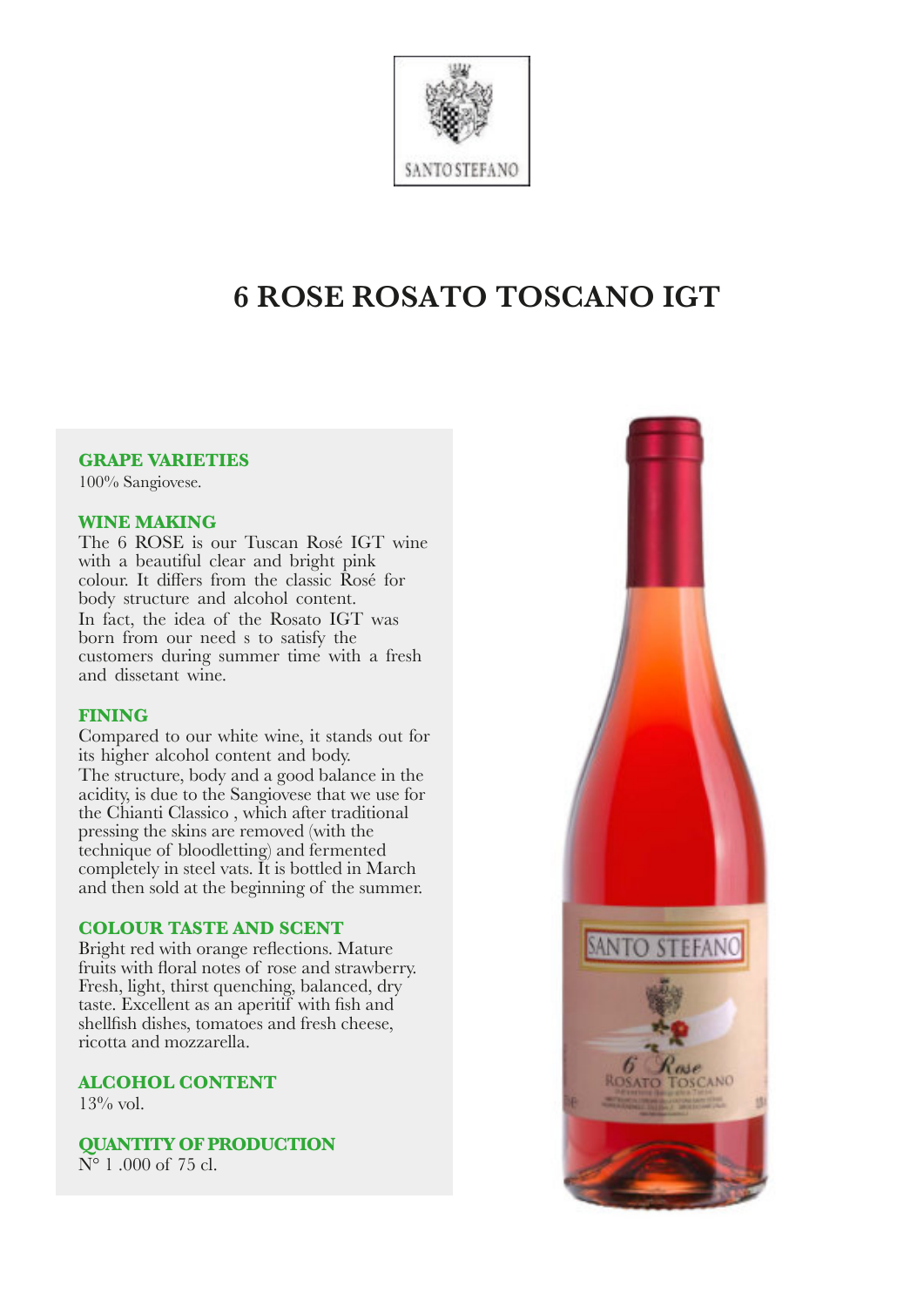

# **6 ROSE ROSATO TOSCANO IGT**

# **GRAPE VARIETIES**

100% Sangiovese.

#### **WINE MAKING**

The 6 ROSE is our Tuscan Rosé IGT wine with a beautiful clear and bright pink colour. It differs from the classic Rosé for body structure and alcohol content. In fact, the idea of the Rosato IGT was born from our need s to satisfy the customers during summer time with a fresh and dissetant wine.

## **FINING**

Compared to our white wine, it stands out for its higher alcohol content and body. The structure, body and a good balance in the acidity, is due to the Sangiovese that we use for the Chianti Classico , which after traditional pressing the skins are removed (with the technique of bloodletting) and fermented completely in steel vats. It is bottled in March and then sold at the beginning of the summer.

## **COLOUR TASTE AND SCENT**

Bright red with orange reflections. Mature fruits with floral notes of rose and strawberry. Fresh, light, thirst quenching, balanced, dry taste. Excellent as an aperitif with fish and shellfish dishes, tomatoes and fresh cheese, ricotta and mozzarella.

**ALCOHOL CONTENT**  $13\%$  vol.

**QUANTITY OF PRODUCTION** N° 1 .000 of 75 cl.

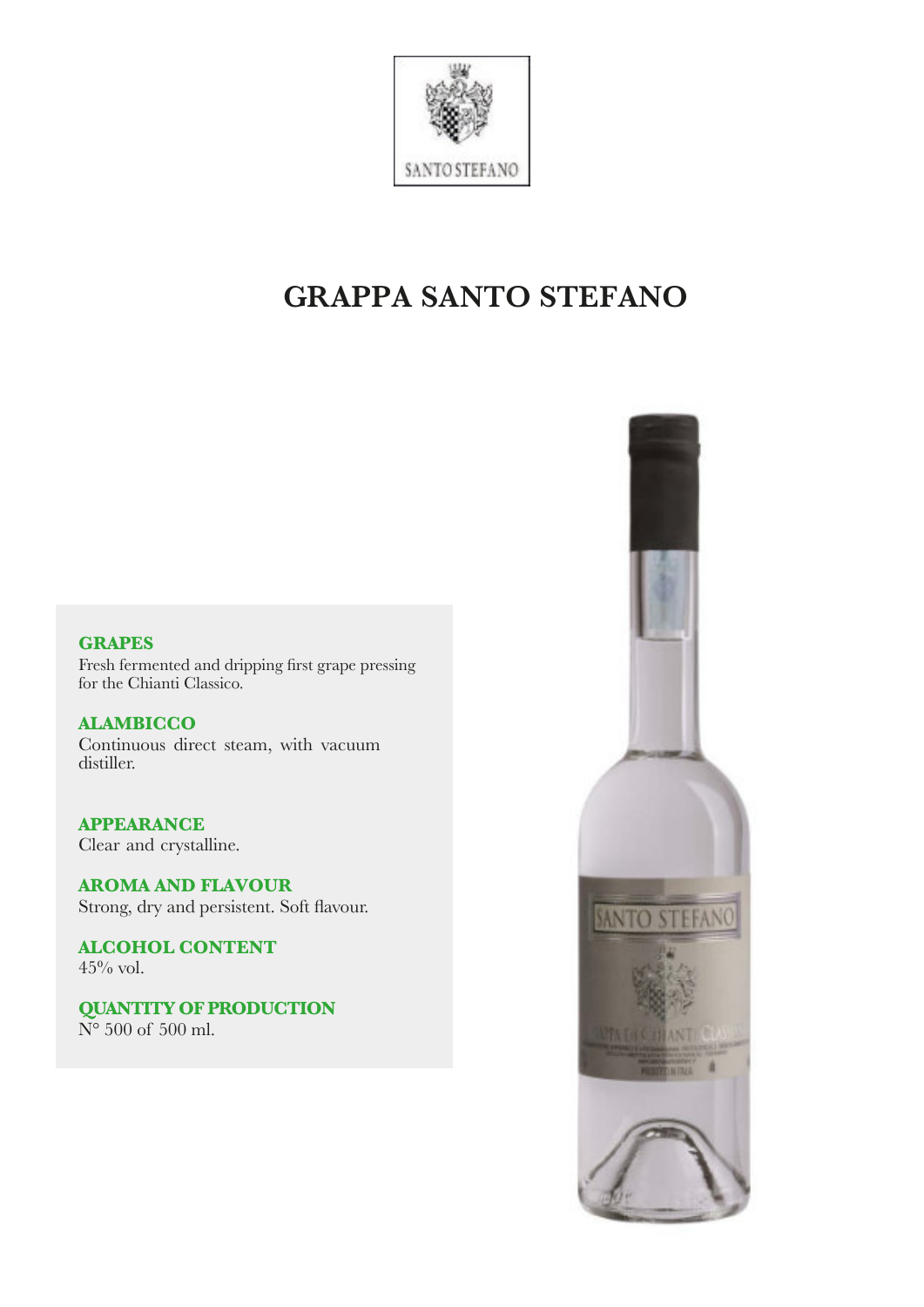

# **GRAPPA SANTO STEFANO**

# **GRAPES**

Fresh fermented and dripping first grape pressing for the Chianti Classico.

**ALAMBICCO** Continuous direct steam, with vacuum distiller.

**APPEARANCE** Clear and crystalline.

**AROMA AND FLAVOUR** Strong, dry and persistent. Soft flavour.

**ALCOHOL CONTENT**  $45\%$  vol.

**QUANTITY OF PRODUCTION** N° 500 of 500 ml.

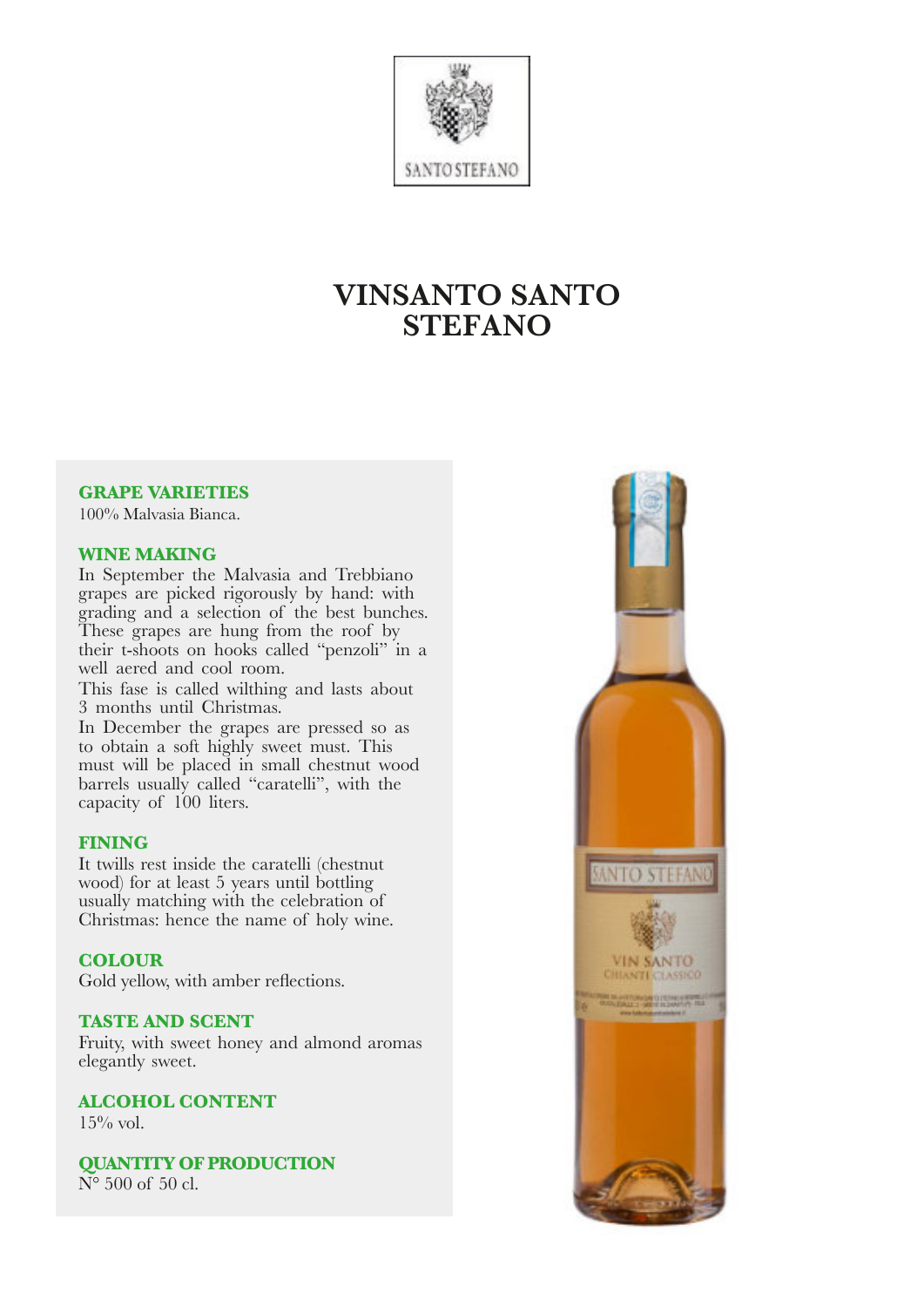

# **VINSANTO SANTO STEFANO**

#### **GRAPE VARIETIES**

100% Malvasia Bianca.

#### **WINE MAKING**

In September the Malvasia and Trebbiano grapes are picked rigorously by hand: with grading and a selection of the best bunches. These grapes are hung from the roof by their t-shoots on hooks called "penzoli" in a well aered and cool room.

This fase is called wilthing and lasts about 3 months until Christmas.

In December the grapes are pressed so as to obtain a soft highly sweet must. This must will be placed in small chestnut wood barrels usually called "caratelli", with the capacity of 100 liters.

#### **FINING**

It twills rest inside the caratelli (chestnut wood) for at least 5 years until bottling usually matching with the celebration of Christmas: hence the name of holy wine.

# **COLOUR**

Gold yellow, with amber reflections.

#### **TASTE AND SCENT**

Fruity, with sweet honey and almond aromas elegantly sweet.

**ALCOHOL CONTENT**  $15\%$  vol.

**QUANTITY OF PRODUCTION**  $\overline{N^{\circ}}$  500 of 50 cl.